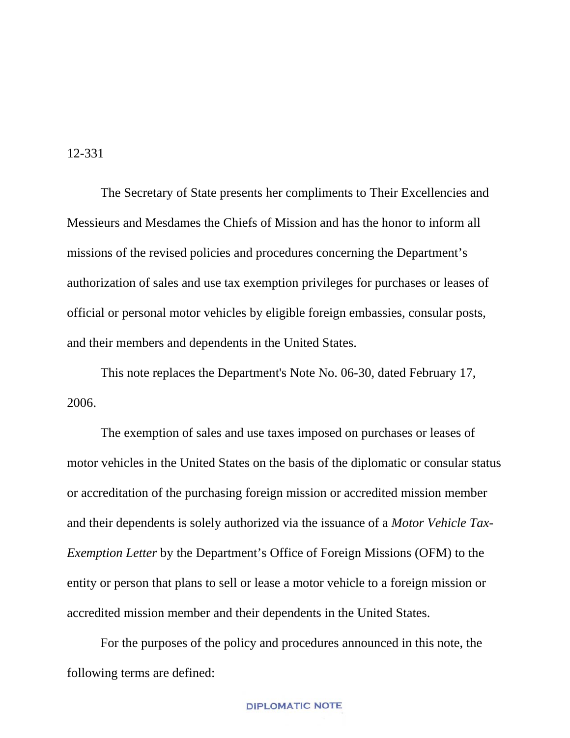#### 12-331

The Secretary of State presents her compliments to Their Excellencies and Messieurs and Mesdames the Chiefs of Mission and has the honor to inform all missions of the revised policies and procedures concerning the Department's authorization of sales and use tax exemption privileges for purchases or leases of official or personal motor vehicles by eligible foreign embassies, consular posts, and their members and dependents in the United States.

This note replaces the Department's Note No. 06-30, dated February 17, 2006.

The exemption of sales and use taxes imposed on purchases or leases of motor vehicles in the United States on the basis of the diplomatic or consular status or accreditation of the purchasing foreign mission or accredited mission member and their dependents is solely authorized via the issuance of a *Motor Vehicle Tax-Exemption Letter* by the Department's Office of Foreign Missions (OFM) to the entity or person that plans to sell or lease a motor vehicle to a foreign mission or accredited mission member and their dependents in the United States.

For the purposes of the policy and procedures announced in this note, the following terms are defined: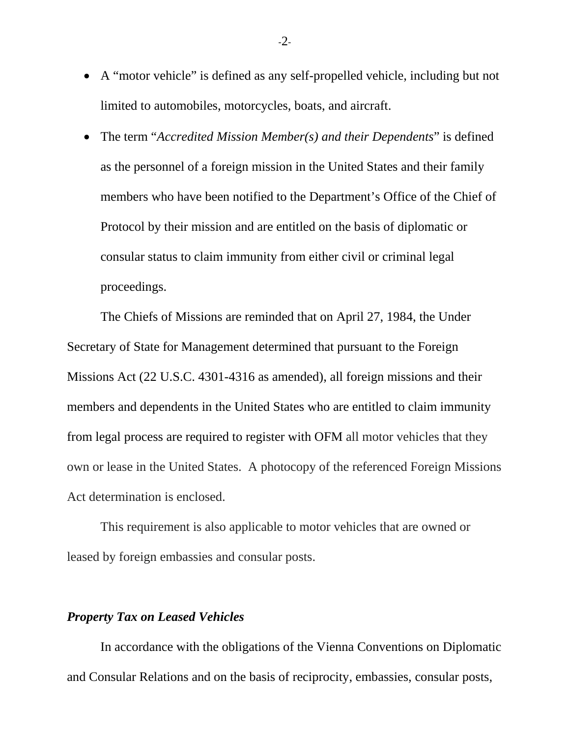- A "motor vehicle" is defined as any self-propelled vehicle, including but not limited to automobiles, motorcycles, boats, and aircraft.
- The term "*Accredited Mission Member(s) and their Dependents*" is defined as the personnel of a foreign mission in the United States and their family members who have been notified to the Department's Office of the Chief of Protocol by their mission and are entitled on the basis of diplomatic or consular status to claim immunity from either civil or criminal legal proceedings.

The Chiefs of Missions are reminded that on April 27, 1984, the Under Secretary of State for Management determined that pursuant to the Foreign Missions Act (22 U.S.C. 4301-4316 as amended), all foreign missions and their members and dependents in the United States who are entitled to claim immunity from legal process are required to register with OFM all motor vehicles that they own or lease in the United States. A photocopy of the referenced Foreign Missions Act determination is enclosed.

This requirement is also applicable to motor vehicles that are owned or leased by foreign embassies and consular posts.

# *Property Tax on Leased Vehicles*

In accordance with the obligations of the Vienna Conventions on Diplomatic and Consular Relations and on the basis of reciprocity, embassies, consular posts,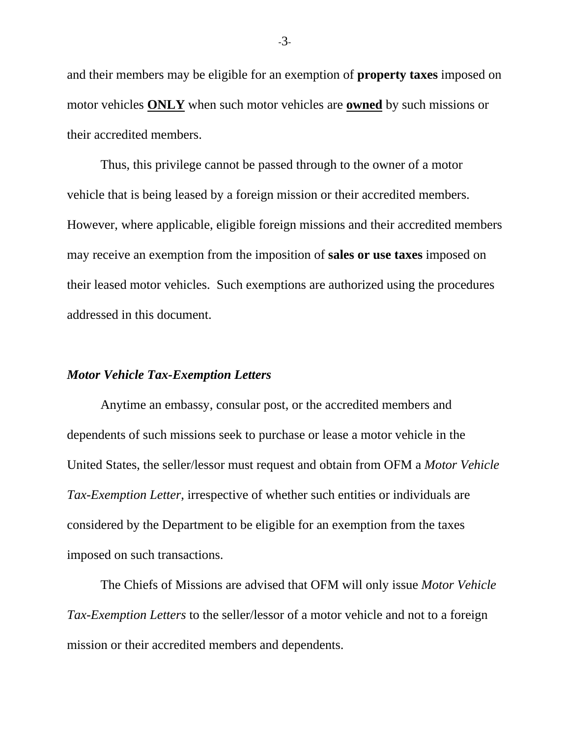and their members may be eligible for an exemption of **property taxes** imposed on motor vehicles **ONLY** when such motor vehicles are **owned** by such missions or their accredited members.

Thus, this privilege cannot be passed through to the owner of a motor vehicle that is being leased by a foreign mission or their accredited members. However, where applicable, eligible foreign missions and their accredited members may receive an exemption from the imposition of **sales or use taxes** imposed on their leased motor vehicles. Such exemptions are authorized using the procedures addressed in this document.

# *Motor Vehicle Tax-Exemption Letters*

Anytime an embassy, consular post, or the accredited members and dependents of such missions seek to purchase or lease a motor vehicle in the United States, the seller/lessor must request and obtain from OFM a *Motor Vehicle Tax-Exemption Letter*, irrespective of whether such entities or individuals are considered by the Department to be eligible for an exemption from the taxes imposed on such transactions.

The Chiefs of Missions are advised that OFM will only issue *Motor Vehicle Tax-Exemption Letters* to the seller/lessor of a motor vehicle and not to a foreign mission or their accredited members and dependents.

-3-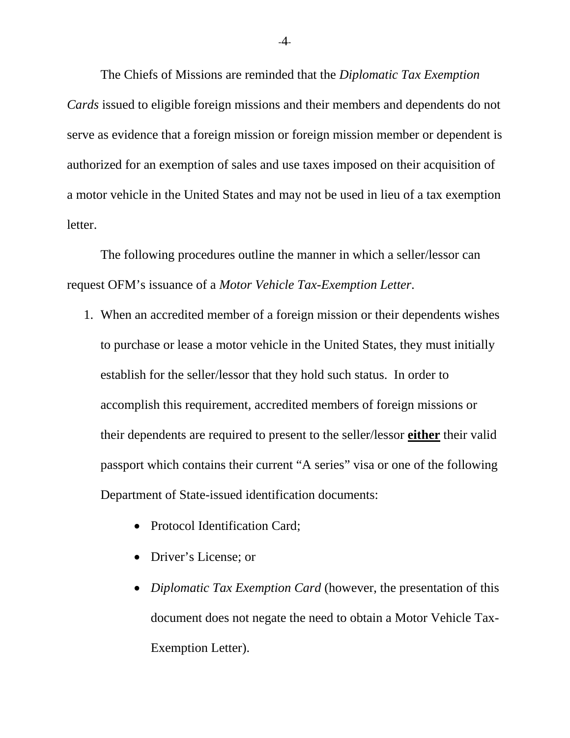The Chiefs of Missions are reminded that the *Diplomatic Tax Exemption Cards* issued to eligible foreign missions and their members and dependents do not serve as evidence that a foreign mission or foreign mission member or dependent is authorized for an exemption of sales and use taxes imposed on their acquisition of a motor vehicle in the United States and may not be used in lieu of a tax exemption letter.

The following procedures outline the manner in which a seller/lessor can request OFM's issuance of a *Motor Vehicle Tax-Exemption Letter*.

- 1. When an accredited member of a foreign mission or their dependents wishes to purchase or lease a motor vehicle in the United States, they must initially establish for the seller/lessor that they hold such status. In order to accomplish this requirement, accredited members of foreign missions or their dependents are required to present to the seller/lessor **either** their valid passport which contains their current "A series" visa or one of the following Department of State-issued identification documents:
	- Protocol Identification Card;
	- Driver's License; or
	- *Diplomatic Tax Exemption Card* (however, the presentation of this document does not negate the need to obtain a Motor Vehicle Tax-Exemption Letter).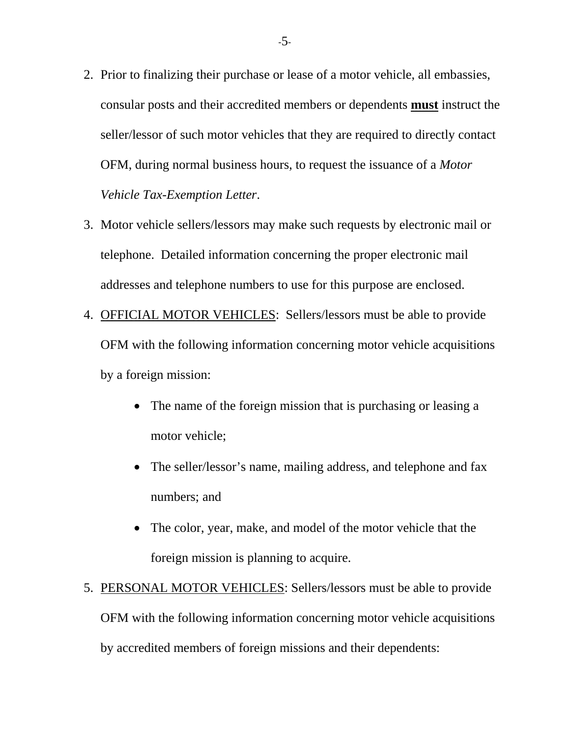- 2. Prior to finalizing their purchase or lease of a motor vehicle, all embassies, consular posts and their accredited members or dependents **must** instruct the seller/lessor of such motor vehicles that they are required to directly contact OFM, during normal business hours, to request the issuance of a *Motor Vehicle Tax-Exemption Letter*.
- 3. Motor vehicle sellers/lessors may make such requests by electronic mail or telephone. Detailed information concerning the proper electronic mail addresses and telephone numbers to use for this purpose are enclosed.
- 4. OFFICIAL MOTOR VEHICLES: Sellers/lessors must be able to provide OFM with the following information concerning motor vehicle acquisitions by a foreign mission:
	- The name of the foreign mission that is purchasing or leasing a motor vehicle;
	- The seller/lessor's name, mailing address, and telephone and fax numbers; and
	- The color, year, make, and model of the motor vehicle that the foreign mission is planning to acquire.
- 5. PERSONAL MOTOR VEHICLES: Sellers/lessors must be able to provide OFM with the following information concerning motor vehicle acquisitions by accredited members of foreign missions and their dependents: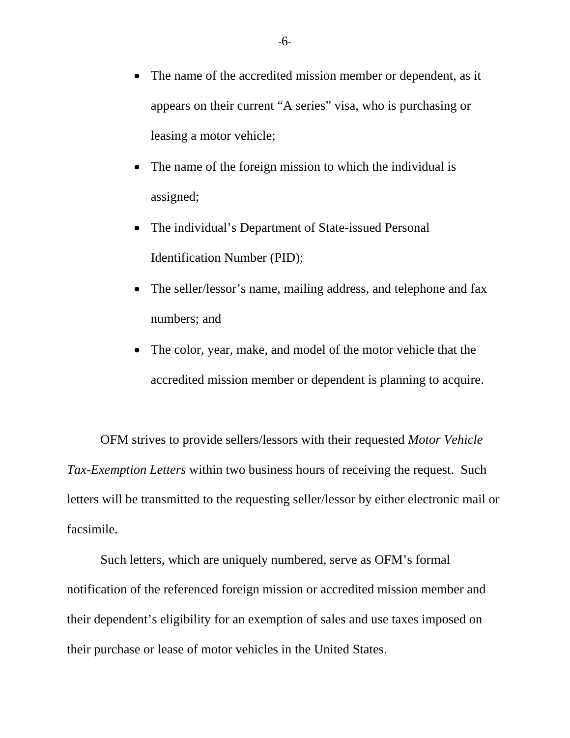- The name of the accredited mission member or dependent, as it appears on their current "A series" visa, who is purchasing or leasing a motor vehicle;
- The name of the foreign mission to which the individual is assigned;
- The individual's Department of State-issued Personal Identification Number (PID);
- The seller/lessor's name, mailing address, and telephone and fax numbers; and
- The color, year, make, and model of the motor vehicle that the accredited mission member or dependent is planning to acquire.

OFM strives to provide sellers/lessors with their requested *Motor Vehicle Tax-Exemption Letters* within two business hours of receiving the request. Such letters will be transmitted to the requesting seller/lessor by either electronic mail or facsimile.

Such letters, which are uniquely numbered, serve as OFM's formal notification of the referenced foreign mission or accredited mission member and their dependent's eligibility for an exemption of sales and use taxes imposed on their purchase or lease of motor vehicles in the United States.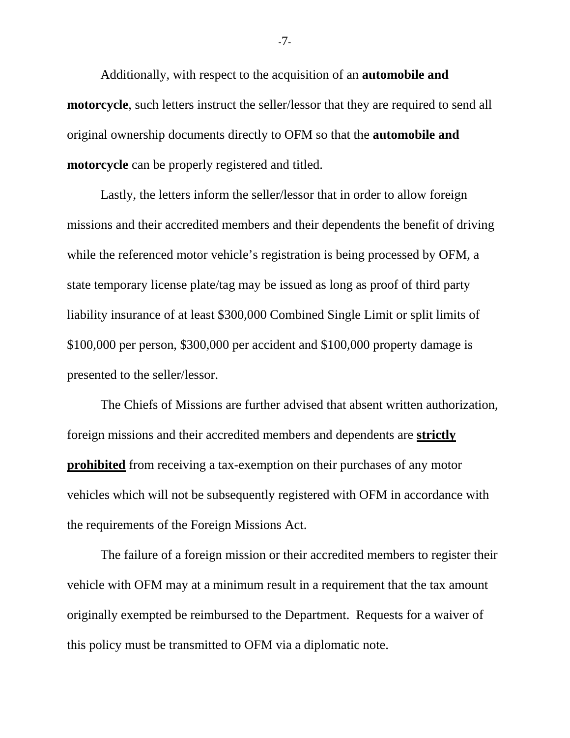Additionally, with respect to the acquisition of an **automobile and motorcycle**, such letters instruct the seller/lessor that they are required to send all original ownership documents directly to OFM so that the **automobile and motorcycle** can be properly registered and titled.

Lastly, the letters inform the seller/lessor that in order to allow foreign missions and their accredited members and their dependents the benefit of driving while the referenced motor vehicle's registration is being processed by OFM, a state temporary license plate/tag may be issued as long as proof of third party liability insurance of at least \$300,000 Combined Single Limit or split limits of \$100,000 per person, \$300,000 per accident and \$100,000 property damage is presented to the seller/lessor.

The Chiefs of Missions are further advised that absent written authorization, foreign missions and their accredited members and dependents are **strictly prohibited** from receiving a tax-exemption on their purchases of any motor vehicles which will not be subsequently registered with OFM in accordance with the requirements of the Foreign Missions Act.

The failure of a foreign mission or their accredited members to register their vehicle with OFM may at a minimum result in a requirement that the tax amount originally exempted be reimbursed to the Department. Requests for a waiver of this policy must be transmitted to OFM via a diplomatic note.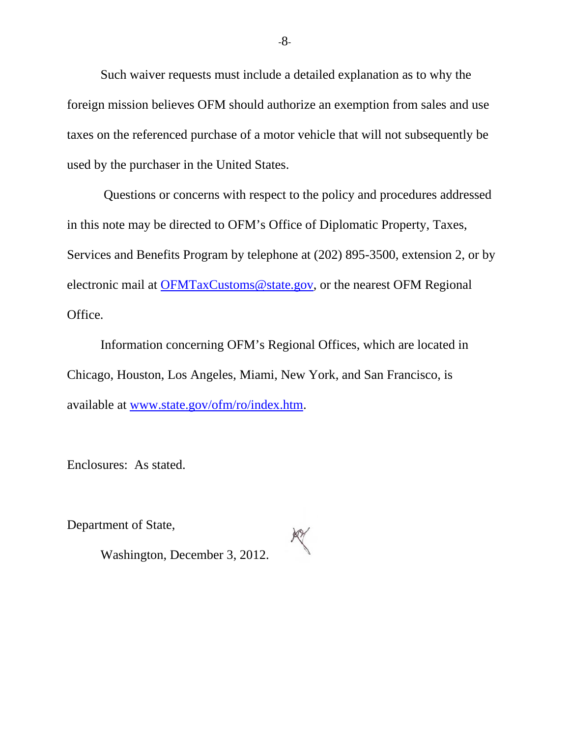Such waiver requests must include a detailed explanation as to why the foreign mission believes OFM should authorize an exemption from sales and use taxes on the referenced purchase of a motor vehicle that will not subsequently be used by the purchaser in the United States.

Questions or concerns with respect to the policy and procedures addressed in this note may be directed to OFM's Office of Diplomatic Property, Taxes, Services and Benefits Program by telephone at (202) 895-3500, extension 2, or by electronic mail at **OFMTaxCustoms@state.gov**, or the nearest OFM Regional Office.

Information concerning OFM's Regional Offices, which are located in Chicago, Houston, Los Angeles, Miami, New York, and San Francisco, is available at [www.state.gov/ofm/ro/index.htm.](http://www.state.gov/ofm/ro/index.htm)

Enclosures: As stated.

Department of State,



Washington, December 3, 2012.